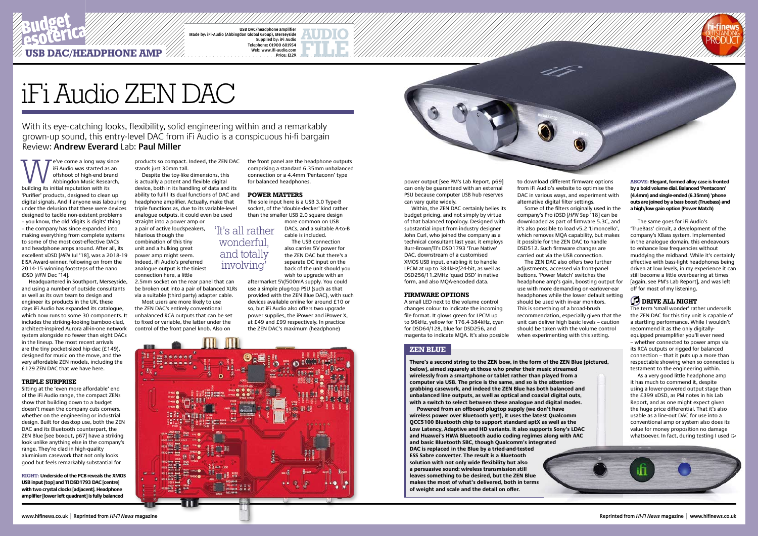We come a long way since<br>
iFi Audio was started as an<br>
offshoot of high-end brand<br>
Abbingdon Music Research,<br>
building its initial reputation with its iFi Audio was started as an offshoot of high-end brand Abbingdon Music Research, 'Purifier' products, designed to clean up digital signals. And if anyone was labouring under the delusion that these were devices designed to tackle non-existent problems – you know, the old 'digits is digits' thing – the company has since expanded into making everything from complete systems to some of the most cost-effective DACs and headphone amps around. After all, its excellent xDSD [*HFN* Jul '18], was a 2018-19 EISA Award-winner, following on from the 2014-15 winning footsteps of the nano iDSD [*HFN* Dec '14].

Headquartered in Southport, Merseyside, and using a number of outside consultants as well as its own team to design and engineer its products in the UK, these days iFi Audio has expanded its catalogue, which now runs to some 30 components. It unbalanced RCA outputs that can be set includes the striking-looking bamboo-clad, architect-inspired Aurora all-in-one network system alongside no fewer than eight DACs in the lineup. The most recent arrivals are the tiny pocket-sized hip-dac (£149), designed for music on the move, and the very affordable ZEN models, including the £129 ZEN DAC that we have here.

### **triple surprise**

Sitting at the 'even more affordable' end of the iFi Audio range, the compact ZENs show that building down to a budget doesn't mean the company cuts corners, whether on the engineering or industrial design. Built for desktop use, both the ZEN DAC and its Bluetooth counterpart, the ZEN Blue [see boxout, p67] have a striking look unlike anything else in the company's range. They're clad in high-quality aluminium casework that not only looks good but feels remarkably substantial for

products so compact. Indeed, the ZEN DAC the front panel are the headphone outputs stands just 30mm tall.

Despite the toy-like dimensions, this is actually a potent and flexible digital device, both in its handling of data and its ability to fulfil its dual functions of DAC and headphone amplifier. Actually, make that triple functions as, due to its variable-level analogue outputs, it could even be used straight into a power amp or

a pair of active loudspeakers, hilarious though the combination of this tiny unit and a hulking great power amp might seem. Indeed, iFi Audio's preferred analogue output is the tiniest connection here, a little

2.5mm socket on the rear panel that can be broken out into a pair of balanced XLRs via a suitable (third party) adapter cable.

Most users are more likely to use the ZEN DAC's entirely conventional to fixed or variable, the latter under the control of the front panel knob. Also on

power output [see PM's Lab Report, p69] can only be guaranteed with an external PSU because computer USB hub reserves can vary quite widely.

Within, the ZEN DAC certainly belies its budget pricing, and not simply by virtue of that balanced topology. Designed with substantial input from industry designer John Curl, who joined the company as a technical consultant last year, it employs Burr-Brown/TI's DSD1793 'True Native' DAC, downstream of a customised XMOS USB input, enabling it to handle LPCM at up to 384kHz/24-bit, as well as DSD256/11.2MHz 'quad DSD' in native form, and also MQA-encoded data.

#### **firmware options**

As a very good little headphone amp it has much to commend it, despite using a lower-powered output stage than the £399 xDSD, as PM notes in his Lab Report, and as one might expect given the huge price differential. That it's also usable as a line-out DAC for use into a conventional amp or system also does its value for money proposition no damage whatsoever. In fact, during testing I used  $\ominus$ 

A small LED next to the volume control changes colour to indicate the incoming file format. It glows green for LPCM up to 96kHz, yellow for 176.4-384kHz, cyan for DSD64/128, blue for DSD256, and magenta to indicate MQA. It's also possible

to download different firmware options from iFi Audio's website to optimise the DAC in various ways, and experiment with alternative digital filter settings.

**ZEN BLUE There's a second string to the ZEN bow, in the form of the ZEN Blue [pictured, below], aimed squarely at those who prefer their music streamed wirelessly from a smartphone or tablet rather than played from a computer via USB. The price is the same, and so is the attentiongrabbing casework, and indeed the ZEN Blue has both balanced and unbalanced line outputs, as well as optical and coaxial digital outs, with a switch to select between these analogue and digital modes.**

Some of the filters originally used in the company's Pro iDSD [*HFN* Sep '18] can be downloaded as part of firmware 5.3C, and it's also possible to load v5.2 'Limoncello', which removes MQA capability, but makes it possible for the ZEN DAC to handle DSD512. Such firmware changes are carried out via the USB connection. The ZEN DAC also offers two further adjustments, accessed via front-panel buttons. 'Power Match' switches the headphone amp's gain, boosting output for use with more demanding on-ear/over-ear headphones while the lower default setting should be used with in-ear monitors. This is something of a broad-brush recommendation, especially given that the unit can deliver high basic levels – caution should be taken with the volume control

when experimenting with this setting.

comprising a standard 6.35mm unbalanced connection or a 4.4mm 'Pentaconn' type for balanced headphones.

### **power matters**

The sole input here is a USB 3.0 Type-B socket, of the 'double-decker' kind rather than the smaller USB 2.0 square design

more common on USB DACs, and a suitable A-to-B cable is included. The USB connection also carries 5V power for the ZEN DAC but there's a separate DC input on the

back of the unit should you wish to upgrade with an aftermarket 5V/500mA supply. You could use a simple plug-top PSU (such as that provided with the ZEN Blue DAC), with such devices available online for around £10 or

so, but iFi Audio also offers two upgrade power supplies, the iPower and iPower X, at £49 and £99 respectively. In practice the ZEN DAC's maximum (headphone)





**ABOVE: Elegant, formed alloy case is fronted by a bold volume dial. Balanced 'Pentaconn' (4.4mm) and single-ended (6.35mm) 'phone outs are joined by a bass boost (Truebass) and a high/low gain option (Power Match)** 

**RIGHT: Underside of the PCB reveals the XMOS USB input [top] and TI DSD1793 DAC [centre] with two crystal clocks [adjacent]. Headphone amplifier [lower left quadrant] is fully balanced**

With its eye-catching looks, flexibility, solid engineering within and a remarkably grown-up sound, this entry-level DAC from iFi Audio is a conspicuous hi-fi bargain Review: **Andrew Everard** Lab: **Paul Miller**

# iFi Audio ZEN DAC

USB DAC/headphone amplifier Made by: iFi-Audio (Abbingdon Global Group), Merseyside Supplied by: iFi Audio Telephone: 01900 601954 Web: www.ifi-audio.com



# **USB DAC/HEADPHONE AMP /////**

The same goes for iFi Audio's 'TrueBass' circuit, a development of the company's XBass system. Implemented in the analogue domain, this endeavours to enhance low frequencies without muddying the midband. While it's certainly effective with bass-light headphones being driven at low levels, in my experience it can still become a little overbearing at times [again, see PM's Lab Report], and was left off for most of my listening.

# **DRIVE ALL NIGHT**

The term 'small wonder' rather undersells the ZEN DAC for this tiny unit is capable of a startling performance. While I wouldn't recommend it as the only digitallyequipped preamplifier you'll ever need – whether connected to power amps via its RCA outputs or rigged for balanced connection – that it puts up a more than respectable showing when so connected is testament to the engineering within.

'It's all rather wonderful, and totally involving'

> **Powered from an offboard plugtop supply (we don't have wireless power over Bluetooth yet!), it uses the latest Qualcomm QCC5100 Bluetooth chip to support standard aptX as well as the Low Latency, Adaptive and HD variants. It also supports Sony's LDAC and Huawei's HWA Bluetooth audio coding regimes along with AAC and basic Bluetooth SBC, though Qualcomm's integrated DAC is replaced in the Blue by a tried-and-tested ESS Sabre converter. The result is a Bluetooth solution with not only wide flexibility but also a persuasive sound: wireless transmission still leaves something to be desired, but the ZEN Blue makes the most of what's delivered, both in terms of weight and scale and the detail on offer.**